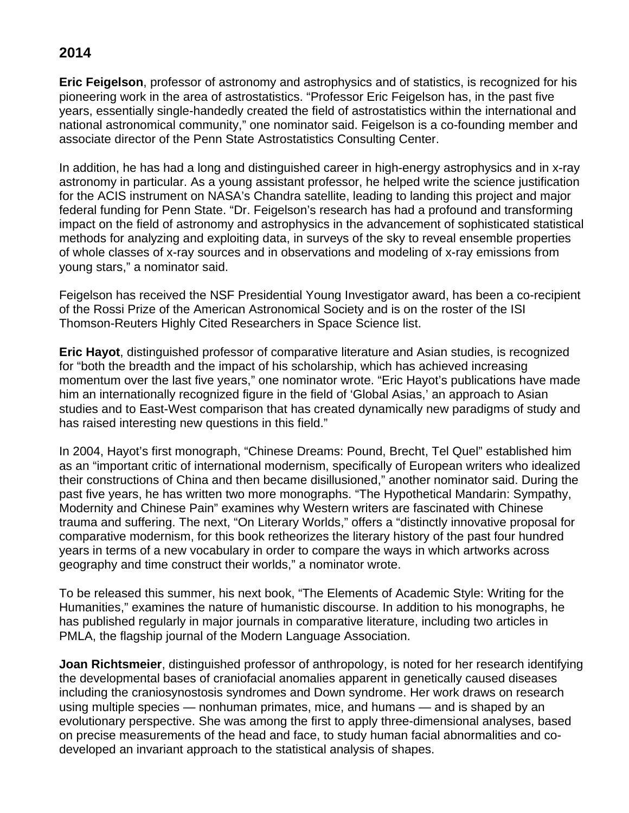## **2014**

**Eric Feigelson**, professor of astronomy and astrophysics and of statistics, is recognized for his pioneering work in the area of astrostatistics. "Professor Eric Feigelson has, in the past five years, essentially single-handedly created the field of astrostatistics within the international and national astronomical community," one nominator said. Feigelson is a co-founding member and associate director of the Penn State Astrostatistics Consulting Center.

In addition, he has had a long and distinguished career in high-energy astrophysics and in x-ray astronomy in particular. As a young assistant professor, he helped write the science justification for the ACIS instrument on NASA's Chandra satellite, leading to landing this project and major federal funding for Penn State. "Dr. Feigelson's research has had a profound and transforming impact on the field of astronomy and astrophysics in the advancement of sophisticated statistical methods for analyzing and exploiting data, in surveys of the sky to reveal ensemble properties of whole classes of x-ray sources and in observations and modeling of x-ray emissions from young stars," a nominator said.

Feigelson has received the NSF Presidential Young Investigator award, has been a co-recipient of the Rossi Prize of the American Astronomical Society and is on the roster of the ISI Thomson-Reuters Highly Cited Researchers in Space Science list.

**Eric Hayot**, distinguished professor of comparative literature and Asian studies, is recognized for "both the breadth and the impact of his scholarship, which has achieved increasing momentum over the last five years," one nominator wrote. "Eric Hayot's publications have made him an internationally recognized figure in the field of 'Global Asias,' an approach to Asian studies and to East-West comparison that has created dynamically new paradigms of study and has raised interesting new questions in this field."

In 2004, Hayot's first monograph, "Chinese Dreams: Pound, Brecht, Tel Quel" established him as an "important critic of international modernism, specifically of European writers who idealized their constructions of China and then became disillusioned," another nominator said. During the past five years, he has written two more monographs. "The Hypothetical Mandarin: Sympathy, Modernity and Chinese Pain" examines why Western writers are fascinated with Chinese trauma and suffering. The next, "On Literary Worlds," offers a "distinctly innovative proposal for comparative modernism, for this book retheorizes the literary history of the past four hundred years in terms of a new vocabulary in order to compare the ways in which artworks across geography and time construct their worlds," a nominator wrote.

To be released this summer, his next book, "The Elements of Academic Style: Writing for the Humanities," examines the nature of humanistic discourse. In addition to his monographs, he has published regularly in major journals in comparative literature, including two articles in PMLA, the flagship journal of the Modern Language Association.

**Joan Richtsmeier**, distinguished professor of anthropology, is noted for her research identifying the developmental bases of craniofacial anomalies apparent in genetically caused diseases including the craniosynostosis syndromes and Down syndrome. Her work draws on research using multiple species — nonhuman primates, mice, and humans — and is shaped by an evolutionary perspective. She was among the first to apply three-dimensional analyses, based on precise measurements of the head and face, to study human facial abnormalities and codeveloped an invariant approach to the statistical analysis of shapes.